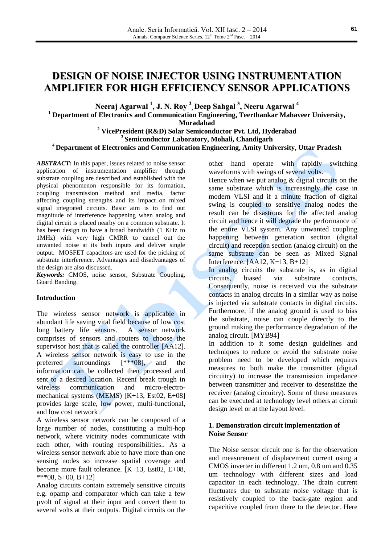# **DESIGN OF NOISE INJECTOR USING INSTRUMENTATION AMPLIFIER FOR HIGH EFFICIENCY SENSOR APPLICATIONS**

**Neeraj Agarwal 1 , J. N. Roy 2 , Deep Sahgal 3 , Neeru Agarwal 4**

**<sup>1</sup> Department of Electronics and Communication Engineering, Teerthankar Mahaveer University,** 

**Moradabad**

**<sup>2</sup> VicePresident (R&D) Solar Semiconductor Pvt. Ltd, Hyderabad 3 Semiconductor Laboratory, Mohali, Chandigarh <sup>4</sup> Department of Electronics and Communication Engineering, Amity University, Uttar Pradesh**

ABSTRACT: In this paper, issues related to noise sensor application of instrumentation amplifier through substrate coupling are described and established with the physical phenomenon responsible for its formation, coupling transmission method and media, factor affecting coupling strengths and its impact on mixed signal integrated circuits. Basic aim is to find out magnitude of interference happening when analog and digital circuit is placed nearby on a common substrate. It has been design to have a broad bandwidth (1 KHz to 1MHz) with very high CMRR to cancel out the unwanted noise at its both inputs and deliver single output. MOSFET capacitors are used for the picking of substrate interference. Advantages and disadvantages of the design are also discussed.

*Keywords:* CMOS, noise sensor, Substrate Coupling, Guard Banding.

# **Introduction**

The wireless sensor network is applicable in abundant life saving vital field because of low cost long battery life sensors. A sensor network comprises of sensors and routers to choose the supervisor host that is called the controller [AA12]. A wireless sensor network is easy to use in the preferred surroundings [\*\*\*08], and the information can be collected then processed and sent to a desired location. Recent break trough in wireless communication and micro-electromechanical systems (MEMS) [K+13, Est02, E+08] provides large scale, low power, multi-functional, and low cost network

A wireless sensor network can be composed of a large number of nodes, constituting a multi-hop network, where vicinity nodes communicate with each other, with routing responsibilities.. As a wireless sensor network able to have more than one sensing nodes so increase spatial coverage and become more fault tolerance. [K+13, Est02, E+08,  $***08, S+00, B+12]$ 

Analog circuits contain extremely sensitive circuits e.g. opamp and comparator which can take a few µvolt of signal at their input and convert them to several volts at their outputs. Digital circuits on the other hand operate with rapidly switching waveforms with swings of several volts.

Hence when we put analog  $&$  digital circuits on the same substrate which is increasingly the case in modern VLSI and if a minute fraction of digital swing is coupled to sensitive analog nodes the result can be disastrous for the affected analog circuit and hence it will degrade the performance of the entire VLSI system. Any unwanted coupling happening between generation section (digital circuit) and reception section (analog circuit) on the same substrate can be seen as Mixed Signal Interference. [AA12, K+13, B+12]

In analog circuits the substrate is, as in digital circuits, biased via substrate contacts. Consequently, noise is received via the substrate contacts in analog circuits in a similar way as noise is injected via substrate contacts in digital circuits. Furthermore, if the analog ground is used to bias the substrate, noise can couple directly to the ground making the performance degradation of the analog circuit. [MYB94]

In addition to it some design guidelines and techniques to reduce or avoid the substrate noise problem need to be developed which requires measures to both make the transmitter (digital circuitry) to increase the transmission impedance between transmitter and receiver to desensitize the receiver (analog circuitry). Some of these measures can be executed at technology level others at circuit design level or at the layout level.

## **1. Demonstration circuit implementation of Noise Sensor**

The Noise sensor circuit one is for the observation and measurement of displacement current using a CMOS inverter in different 1.2 um, 0.8 um and 0.35 um technology with different sizes and load capacitor in each technology. The drain current fluctuates due to substrate noise voltage that is resistively coupled to the back-gate region and capacitive coupled from there to the detector. Here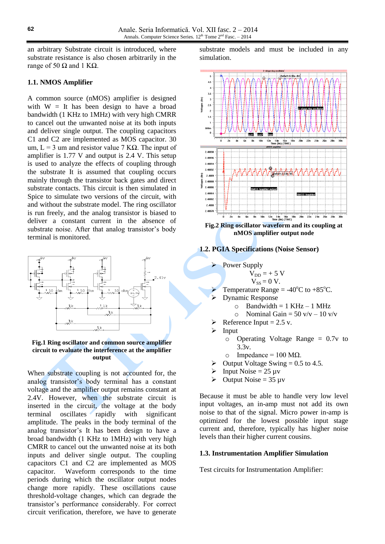an arbitrary Substrate circuit is introduced, where substrate resistance is also chosen arbitrarily in the range of 50  $Ω$  and 1 K $Ω$ .

## **1.1. NMOS Amplifier**

A common source (nMOS) amplifier is designed with  $W = It$  has been design to have a broad bandwidth (1 KHz to 1MHz) with very high CMRR to cancel out the unwanted noise at its both inputs and deliver single output. The coupling capacitors C1 and C2 are implemented as MOS capacitor. 30 um,  $L = 3$  um and resistor value 7 K $\Omega$ . The input of amplifier is 1.77 V and output is 2.4 V. This setup is used to analyze the effects of coupling through the substrate It is assumed that coupling occurs mainly through the transistor back gates and direct substrate contacts. This circuit is then simulated in Spice to simulate two versions of the circuit, with and without the substrate model. The ring oscillator is run freely, and the analog transistor is biased to deliver a constant current in the absence of substrate noise. After that analog transistor's body terminal is monitored.



#### **Fig.1 Ring oscillator and common source amplifier circuit to evaluate the interference at the amplifier output**

When substrate coupling is not accounted for, the analog transistor's body terminal has a constant voltage and the amplifier output remains constant at 2.4V. However, when the substrate circuit is inserted in the circuit, the voltage at the body terminal oscillates rapidly with significant amplitude. The peaks in the body terminal of the analog transistor's It has been design to have a broad bandwidth (1 KHz to 1MHz) with very high CMRR to cancel out the unwanted noise at its both inputs and deliver single output. The coupling capacitors C1 and C2 are implemented as MOS capacitor. Waveform corresponds to the time periods during which the oscillator output nodes change more rapidly. These oscillations cause threshold-voltage changes, which can degrade the transistor's performance considerably. For correct circuit verification, therefore, we have to generate

substrate models and must be included in any simulation.



**Fig.2 Ring oscillator waveform and its coupling at nMOS amplifier output node**

#### **1.2. PGIA Specifications (Noise Sensor)**

Power Supply  $V_{DD}$  = + 5 V

$$
V_{SS} = 0 V.
$$

- Temperature Range =  $-40^{\circ}$ C to  $+85^{\circ}$ C.
- Dynamic Response
	- $\circ$  Bandwidth = 1 KHz 1 MHz
	- $\circ$  Nominal Gain = 50 v/v 10 v/v
- Reference Input  $= 2.5$  v.
- $\triangleright$  Input
	- $\circ$  Operating Voltage Range = 0.7v to 3.3v.
	- o Impedance = 100 MΩ.
- $\triangleright$  Output Voltage Swing = 0.5 to 4.5.
- Input Noise  $= 25 \mu v$
- $\geq$  Output Noise = 35 µv

Because it must be able to handle very low level input voltages, an in-amp must not add its own noise to that of the signal. Micro power in-amp is optimized for the lowest possible input stage current and, therefore, typically has higher noise levels than their higher current cousins.

## **1.3. Instrumentation Amplifier Simulation**

Test circuits for Instrumentation Amplifier: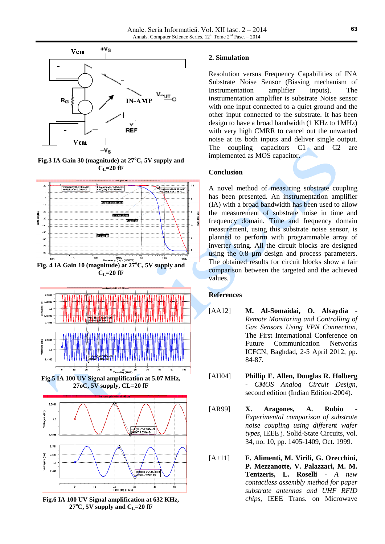

**Fig.3 IA Gain 30 (magnitude) at 27<sup>o</sup>C, 5V supply and**   $C_{L}$ =20 fF





**Fig.6 IA 100 UV Signal amplification at 632 KHz,**  $27^{\circ}$ C, 5V supply and C<sub>L</sub>=20 fF

## **2. Simulation**

Resolution versus Frequency Capabilities of INA Substrate Noise Sensor (Biasing mechanism of Instrumentation amplifier inputs). The instrumentation amplifier is substrate Noise sensor with one input connected to a quiet ground and the other input connected to the substrate. It has been design to have a broad bandwidth (1 KHz to 1MHz) with very high CMRR to cancel out the unwanted noise at its both inputs and deliver single output. The coupling capacitors C1 and C2 are implemented as MOS capacitor.

## **Conclusion**

A novel method of measuring substrate coupling has been presented. An instrumentation amplifier (IA) with a broad bandwidth has been used to allow the measurement of substrate noise in time and frequency domain. Time and frequency domain measurement, using this substrate noise sensor, is planned to perform with programmable array of inverter string. All the circuit blocks are designed using the 0.8 µm design and process parameters. The obtained results for circuit blocks show a fair comparison between the targeted and the achieved values.

# **References**

- [AA12] **M. Al-Somaidai, O. Alsaydia** *Remote Monitoring and Controlling of Gas Sensors Using VPN Connection*, The First International Conference on Future Communication Networks ICFCN, Baghdad, 2-5 April 2012, pp. 84-87.
- [AH04] **Phillip E. Allen, Douglas R. Holberg** - *CMOS Analog Circuit Design*, second edition (Indian Edition-2004).
- [AR99] **X.** Aragones, A. Rubio *Experimental comparison of substrate noise coupling using different wafer types*, IEEE j. Solid-State Circuits, vol. 34, no. 10, pp. 1405-1409, Oct. 1999.
- [A+11] **F. Alimenti, M. Virili, G. Orecchini, P. Mezzanotte, V. Palazzari, M. M. Tentzeris, L. Roselli** - *A new contactless assembly method for paper substrate antennas and UHF RFID chips*, IEEE Trans. on Microwave